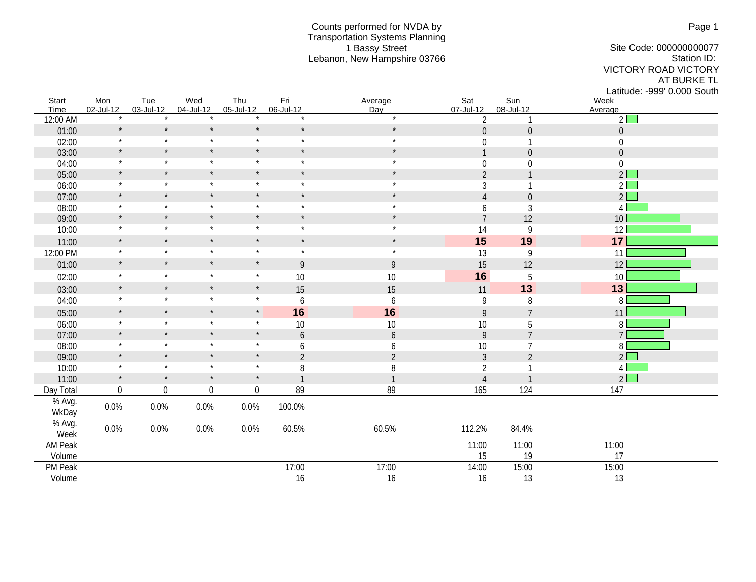## Counts performed for NVDA by Transportation Systems Planning 1 Bassy Street Lebanon, New Hampshire 03766

Site Code: 000000000077 Station ID: VICTORY ROAD VICTORY AT BURKE TL Latitude: -999' 0.000 South

| Start<br>Time   | Mon<br>02-Jul-12 | Tue<br>03-Jul-12 | Wed<br>04-Jul-12 | Thu<br>05-Jul-12 | Fri<br>06-Jul-12 | Average<br>Day | Sat<br>07-Jul-12 | Sun<br>08-Jul-12 | Week<br>Average  |
|-----------------|------------------|------------------|------------------|------------------|------------------|----------------|------------------|------------------|------------------|
| 12:00 AM        | $\star$          | $\star$          |                  |                  | $\star$          | $\star$        | $\overline{2}$   | $\mathbf{1}$     | $\overline{2}$   |
| 01:00           | $\star$          | $\star$          | $\star$          | $\star$          | $\star$          | $\star$        | $\boldsymbol{0}$ | $\boldsymbol{0}$ | $\boldsymbol{0}$ |
| 02:00           | $\star$          | $\star$          | $\star$          | $\star$          | $\star$          | $\star$        | 0                | $\mathbf{1}$     | $\boldsymbol{0}$ |
| 03:00           | $\star$          | $\star$          | $\star$          | $\star$          | $\star$          | $\star$        | $\mathbf{1}$     | $\boldsymbol{0}$ | $\boldsymbol{0}$ |
| 04:00           | $\star$          | $\star$          | $\star$          | $\star$          | $\star$          | $\star$        | $\boldsymbol{0}$ | $\boldsymbol{0}$ | $\boldsymbol{0}$ |
| 05:00           | $\star$          | $\star$          | $\star$          | $\star$          | $\star$          | $\star$        | $\overline{2}$   | $\mathbf{1}$     | $2\sqrt{ }$      |
| 06:00           | $\star$          | $\star$          | $\star$          | $\star$          | $\star$          | $\star$        | 3                | $\mathbf{1}$     | $2\sqrt{ }$      |
| 07:00           | $\star$          | $\star$          | $\star$          | $\star$          | $\star$          | $\star$        | 4                | $\boldsymbol{0}$ | $2\Box$          |
| 08:00           | $\star$          | $\star$          | $\star$          | $\star$          | $\star$          | $\star$        | 6                | 3                | $\overline{4}$   |
| 09:00           | $\star$          | $\star$          | $\star$          | $\star$          | $\star$          | $\star$        | $\overline{7}$   | 12               | 10 <sup>1</sup>  |
| 10:00           | $\star$          | $\star$          | $\star$          | $\star$          | $\star$          | $\star$        | 14               | 9                | 12               |
| 11:00           | $\star$          | $\star$          | $\star$          | $\star$          | $\star$          | $\star$        | 15               | 19               | 17               |
| 12:00 PM        | $\star$          | $\star$          | $\star$          | $\star$          | $\star$          | $\star$        | 13               | 9                | 11               |
| 01:00           | $\star$          | $\star$          | $\star$          | $\star$          | 9                | $\overline{9}$ | 15               | 12               | 12               |
| 02:00           | $\star$          | $\star$          | $\star$          | $\star$          | 10               | $10$           | 16               | $\overline{5}$   | 10               |
| 03:00           | $\star$          | $\star$          | $\star$          | $\star$          | 15               | 15             | 11               | 13               | 13               |
| 04:00           | $\star$          | $\star$          | $\star$          | $\star$          | 6                | 6              | 9                | 8                | 8                |
| 05:00           | $\star$          | $\star$          | $\star$          | $^\star$         | 16               | 16             | 9                | $\overline{7}$   | 11               |
| 06:00           | $\star$          | $\star$          | $\star$          | $\star$          | 10               | 10             | $10$             | 5                | 8                |
| 07:00           | $\star$          | $\star$          | $\star$          | $\star$          | 6                | 6              | 9                | $\overline{7}$   | $\overline{7}$   |
| 08:00           | $\star$          | $\star$          | $\star$          | $\star$          | 6                | 6              | $10$             | $\overline{7}$   | 8 <sup>1</sup>   |
| 09:00           | $\star$          | $\star$          | $\star$          | $\star$          | $\overline{2}$   | $\overline{2}$ | $\mathfrak{Z}$   | $\overline{2}$   | $2\sqrt{ }$      |
| 10:00           | $\star$          | $\star$          | $\star$          | $\star$          | 8                | 8              | $\overline{2}$   | $\mathbf{1}$     | 4                |
| 11:00           | $\star$          | $\star$          | $\star$          | $\star$          |                  | $\mathbf{1}$   | $\overline{4}$   | $\mathbf{1}$     | $2\Box$          |
| Day Total       | $\boldsymbol{0}$ | $\boldsymbol{0}$ | $\overline{0}$   | $\mathbf 0$      | 89               | 89             | 165              | 124              | 147              |
| % Avg.<br>WkDay | $0.0\%$          | 0.0%             | 0.0%             | 0.0%             | 100.0%           |                |                  |                  |                  |
| % Avg.<br>Week  | 0.0%             | 0.0%             | 0.0%             | 0.0%             | 60.5%            | 60.5%          | 112.2%           | 84.4%            |                  |
| AM Peak         |                  |                  |                  |                  |                  |                | 11:00            | 11:00            | 11:00            |
| Volume          |                  |                  |                  |                  |                  |                | 15               | 19               | 17               |
| PM Peak         |                  |                  |                  |                  | 17:00            | 17:00          | 14:00            | 15:00            | 15:00            |
| Volume          |                  |                  |                  |                  | 16               | 16             | 16               | 13               | 13               |

Page 1